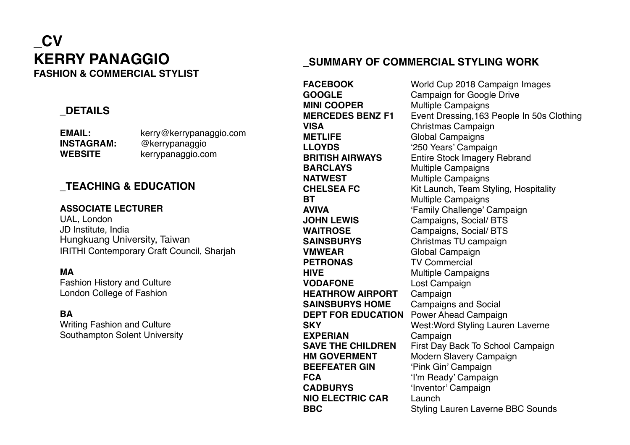# **\_CV KERRY PANAGGIO FASHION & COMMERCIAL STYLIST**

### **\_DETAILS**

**EMAIL:** kerry@kerrypanaggio.com **INSTAGRAM:** @kerrypanaggio **WEBSITE** kerrypanaggio.com

### **\_TEACHING & EDUCATION**

#### **ASSOCIATE LECTURER**

UAL, London JD Institute, India Hungkuang University, Taiwan IRITHI Contemporary Craft Council, Sharjah

#### **MA**

Fashion History and Culture London College of Fashion

#### **BA**

Writing Fashion and Culture Southampton Solent University

## **\_SUMMARY OF COMMERCIAL STYLING WORK**

**FACEBOOK** World Cup 2018 Campaign Images **GOOGLE** Campaign for Google Drive<br> **MINI COOPER** Multiple Campaigns **Multiple Campaigns MERCEDES BENZ F1** Event Dressing,163 People In 50s Clothing **VISA** Christmas Campaign **METLIFE** Global Campaigns<br>
LLOYDS (250 Years' Campaigns) '250 Years' Campaign **BRITISH AIRWAYS** Entire Stock Imagery Rebrand **BARCLAYS** Multiple Campaigns **NATWEST** Multiple Campaigns **CHELSEA FC** Kit Launch, Team Styling, Hospitality **BT** Multiple Campaigns **AVIVA** 'Family Challenge' Campaign **JOHN LEWIS** Campaigns, Social/ BTS **WAITROSE** Campaigns, Social/ BTS **SAINSBURYS** Christmas TU campaign **VMWEAR** Global Campaign **PETRONAS** TV Commercial **HIVE Multiple Campaigns VODAFONE** Lost Campaign **HEATHROW AIRPORT** Campaign **SAINSBURYS HOME** Campaigns and Social **DEPT FOR EDUCATION** Power Ahead Campaign **SKY** West:Word Styling Lauren Laverne **EXPERIAN** Campaign **SAVE THE CHILDREN** First Day Back To School Campaign **HM GOVERMENT** Modern Slavery Campaign **BEEFEATER GIN** 'Pink Gin' Campaign **FCA** 'I'm Ready' Campaign **CADBURYS** 'Inventor' Campaign **NIO ELECTRIC CAR** Launch **BBC** Styling Lauren Laverne BBC Sounds